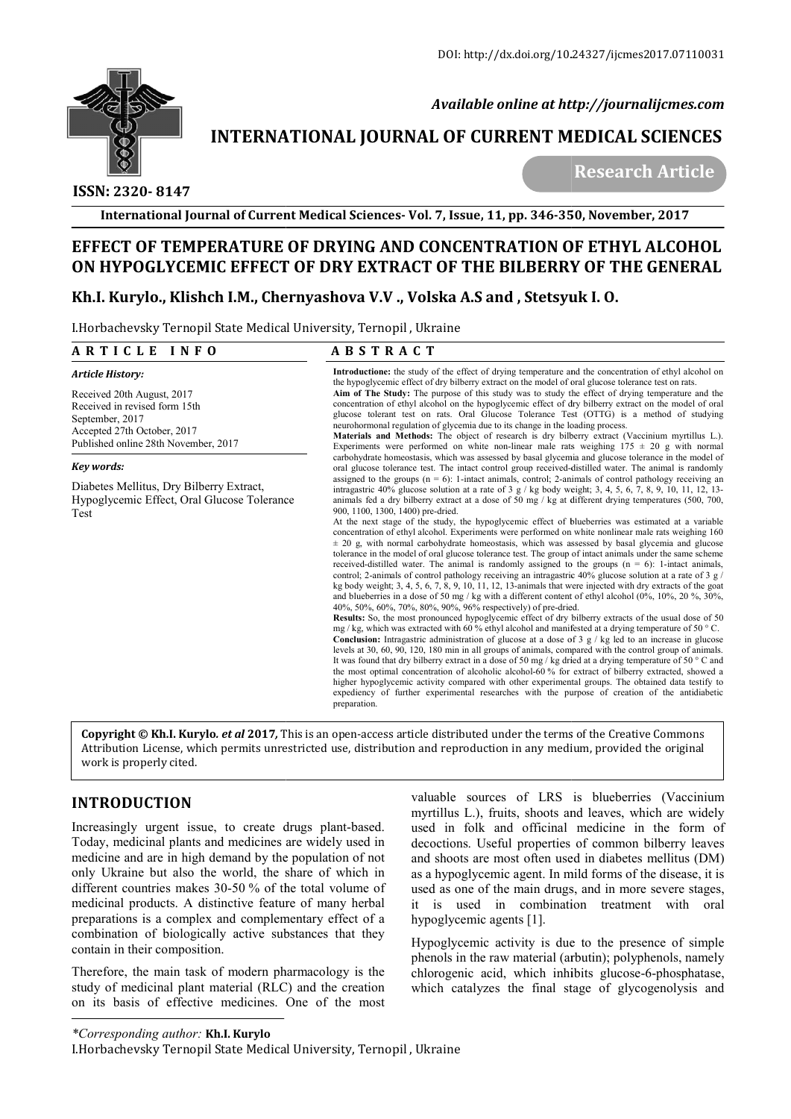

 *Available online at http://journalijcmes.com*

# **INTERNATIONAL JOURNAL OF CURRENT MEDICAL SCIENCES**<br>Research Article

 **ISSN: 2320- 8147**

**International Journal of Current Medical Sciences Sciences- Vol. 7, Issue, 11, pp. 346-350**

# EFFECT OF TEMPERATURE OF DRYING AND CONCENTRATION OF ETHYL ALCOHOL<br>ON HYPOGLYCEMIC EFFECT OF DRY EXTRACT OF THE BILBERRY OF THE GENERAL<br>Kh.I. Kurylo., Klishch I.M., Chernyashova V.V ., Volska A.S and , Stetsyuk I. O. **ON HYPOGLYCEMIC EFFECT OF DRY EXTRACT OF THE BILBERRY OF THE GENERAL**

# **Kh.I. Kurylo., Klishch I.M., Chernyashova V.V ., Volska A.S and , Stetsyuk I. O.**

I.Horbachevsky Ternopil State Medical University, Ternopil , Ukraine

### **A R T I C L E I N F O** *Article History:*  Received 20th August, 2017 Received in revised form 15th September, 2017 Accepted 27th October, 2017 Published online 28th November, 2017 *Key words:* Diabetes Mellitus, Dry Bilberry Extract, Hypoglycemic Effect, Oral Glucose Tolerance Test **A B S T R A C T Introductione:** the study of the effect of drying temperature and the concentration of ethyl alcohol on Introductione: the study of the effect of drying temperature and the concentration of ethyl alcohol the hypoglycemic effect of dry bilberry extract on the model of oral glucose tolerance test on rats. **Aim of The Study:** The purpose of this study was to study the effect of drying temperature and the Aim of The Study: The purpose of this study was to study the effect of drying temperature and the concentration of ethyl alcohol on the hypoglycemic effect of dry bilberry extract on the model of oral glucose tolerant test on rats. Oral Glucose Tolerance Test (OTTG) is a method of studying neurohormonal regulation of glycemia due to its change in the loading process. glucose tolerant test on rats. Oral Glucose Tolerance Test (OTTG) is a method of studying<br>neurohormonal regulation of glycemia due to its change in the loading process.<br>**Materials and Methods:** The object of research is dr Experiments were performed on white non-linear male rats weighing  $175 \pm 20$  g with normal carbohydrate homeostasis, which was assessed by basal glycemia and glucose tolerance in the model of oral glucose tolerance test. The intact control group received-distilled water. The animal is randomly assigned to the groups  $(n = 6)$ : 1-intact animals, control; 2-animals of control pathology receiving an Experiments were performed on white non-linear male rats weighing  $175 \pm 20$  g with normal carbohydrate homeostasis, which was assessed by basal glycemia and glucose tolerance in the model of animals is randomly received animals fed a dry bilberry extract at a dose of 50 mg / kg at different drying temperatures (500, 700, 900, 1100, 1300, 1400) pre-dried. At the next stage of the study, the hypoglycemic effect of blueberries was estimated at a variable concentration of ethyl alcohol. Experiments were performed on white nonlinear male rats weighing 160  $\pm$  20 g, with normal carbohydrate homeostasis, which was assessed by basal glycemia and glucose tolerance in the model of oral glucose tolerance test. The group of intact animals under the same scheme received-distilled water. The animal is randomly assigned to the groups  $(n = 6)$ : 1-intact animals, control; 2-animals of control pathology receiving an intragastric  $40\%$  glucose solution at a rate of 3 g  $/$ kg body weight; 3, 4, 5, 6, 7, 8, 9, 10, 11, 12, 13-animals that were injected with dry extracts of the goat and blueberries in a dose of 50 mg / kg with a different content of ethyl alcohol (0%, 10%, 20 %, 30%, 40%, 50%, 60%, 70%, 80%, 90%, 96% respectively) of pre-dried. **Results:** So, the most pronounced hypoglycemic effect of dry bilberry extracts of the usual dose of 50 mg / kg, which was extracted with 60 % ethyl alcohol and manifested at a drying temperature of 50 ° C. **Conclusion:** Intragastric administration of glucose at a dose of 3 g / kg led to an increase in glucose levels at 30, 60, 90, 120, 180 min in all groups of animals, compared with the control group of animals. It was found that dry bilberry extract in a dose of 50 mg / kg dried at a drying temperature of 50  $^{\circ}$  C and the most optimal concentration of alcoholic alcohol-60 % for extract of bilberry extracted, showed a higher hypoglycemic activity compared with other experimental groups. The obtained data testify to expediency of further experimental researches with the purpose of creation of the antidiabetic preparation. animals fed a dry bilberry extract at a dose of 50 mg / kg at different drying temperatures (500, 700, 900, 1100, 1300, 1400) pre-dried.<br>At the next stage of the study, the hypoglycemic effect of blueberries was estimated animals of control pathology receiving an intragastric 40% glucose solution at a rate of 3 g / eight; 3, 4, 5, 6, 7, 8, 9, 10, 11, 12, 13-animals that were injected with dry extracts of the goat reries in a dose of 50 mg **onclusion:** Intragastric administration of glucose at a dose of 3  $g$  / kg led to an increase in glucose vels at 30, 60, 90, 120, 180 min in all groups of animals, compared with the control group of animals. was found th the most optimal concentration of alcoholic alcohol-60 % for extract of bilberry extracted, showed a higher hypoglycemic activity compared with other experimental groups. The obtained data testify to expediency of further 350, November, 2017<br>
OF ETHYL ALCOH<br>
RY OF THE GENER<br>
RY OF THE GENER<br>
EVALCOH<br>
RY OF THE GENER<br>
Synthe and the concentration of ethyl alco<br>
of oral glucose tolerance test on rats.<br>
Test (OTTG) is a method of studient pres

**Copyright © Kh.I. Kurylo. et al 2017,** This is an open-access article distributed under the terms of the Creative Commons **Copyright © Kh.I. Kurylo***. et al* **2017,** This is an open-access article distributed under the terms of the Creative Commons<br>Attribution License, which permits unrestricted use, distribution and reproduction in any medium, work is properly cited.

# **INTRODUCTION**

Increasingly urgent issue, to create drugs plant-based. Today, medicinal plants and medicines are widely used in medicine and are in high demand by the population of not only Ukraine but also the world, the share of which in different countries makes  $30-50\%$  of the total volume of medicinal products. A distinctive feature of many herbal preparations is a complex and complementary effect of a combination of biologically active substances that they contain in their composition.

Therefore, the main task of modern pharmacology is the study of medicinal plant material (RLC) and the creation on its basis of effective medicines. One of the most

valuable sources of LRS is blueberries (Vaccinium myrtillus L.), fruits, shoots and leaves, which are widely used in folk and officinal medicine in the form of decoctions. Useful properties of common bilberry leaves and shoots are most often used in diabetes mellitus (DM) as a hypoglycemic agent. In mild forms of the disease, it is used as one of the main drugs, and in more severe stages, it is used in combination treatment with oral hypoglycemic agents [1]. as a hypoglycemic agent. In mild forms of the disease, it is<br>used as one of the main drugs, and in more severe stages,<br>it is used in combination treatment with oral<br>hypoglycemic agents [1].<br>Hypoglycemic activity is due to

Hypoglycemic activity is due to the presence of simple phenols in the raw material (arbutin); polyphenols, namely chlorogenic acid, which inhibits glucose-6-phosphatase, which catalyzes the final stage of glycogenolysis and

*\*Corresponding author:* **Kh.I. Kurylo**

I.Horbachevsky Ternopil State Medical University, Ternopil , Ukraine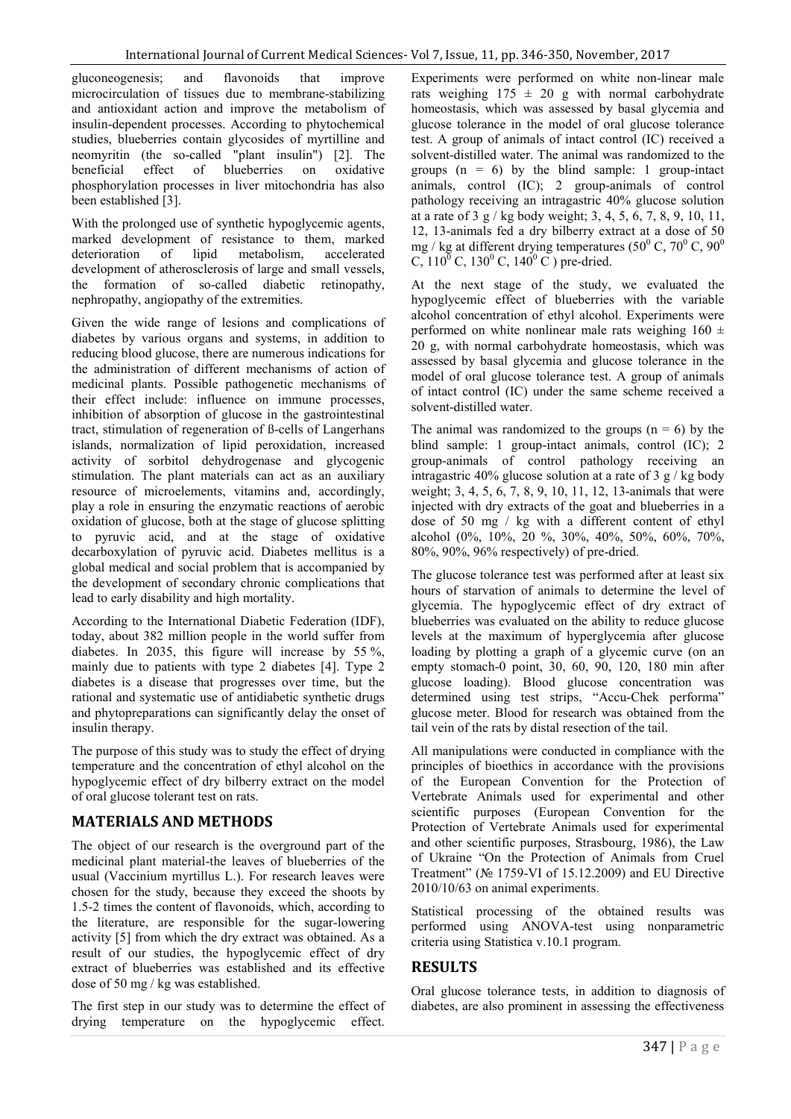gluconeogenesis; and flavonoids that improve microcirculation of tissues due to membrane-stabilizing and antioxidant action and improve the metabolism of insulin-dependent processes. According to phytochemical studies, blueberries contain glycosides of myrtilline and neomyritin (the so-called "plant insulin") [2]. The beneficial effect of blueberries on oxidative phosphorylation processes in liver mitochondria has also been established [3].

With the prolonged use of synthetic hypoglycemic agents, marked development of resistance to them, marked<br>deterioration of lipid metabolism, accelerated deterioration of lipid metabolism, accelerated development of atherosclerosis of large and small vessels, the formation of so-called diabetic retinopathy, nephropathy, angiopathy of the extremities.

Given the wide range of lesions and complications of diabetes by various organs and systems, in addition to reducing blood glucose, there are numerous indications for the administration of different mechanisms of action of medicinal plants. Possible pathogenetic mechanisms of their effect include: influence on immune processes, inhibition of absorption of glucose in the gastrointestinal tract, stimulation of regeneration of ß-cells of Langerhans islands, normalization of lipid peroxidation, increased activity of sorbitol dehydrogenase and glycogenic stimulation. The plant materials can act as an auxiliary resource of microelements, vitamins and, accordingly, play a role in ensuring the enzymatic reactions of aerobic oxidation of glucose, both at the stage of glucose splitting to pyruvic acid, and at the stage of oxidative decarboxylation of pyruvic acid. Diabetes mellitus is a global medical and social problem that is accompanied by the development of secondary chronic complications that lead to early disability and high mortality.

According to the International Diabetic Federation (IDF), today, about 382 million people in the world suffer from diabetes. In 2035, this figure will increase by 55 %, mainly due to patients with type 2 diabetes [4]. Type 2 diabetes is a disease that progresses over time, but the rational and systematic use of antidiabetic synthetic drugs and phytopreparations can significantly delay the onset of insulin therapy.

The purpose of this study was to study the effect of drying temperature and the concentration of ethyl alcohol on the hypoglycemic effect of dry bilberry extract on the model of oral glucose tolerant test on rats.

# **MATERIALS AND METHODS**

The object of our research is the overground part of the medicinal plant material-the leaves of blueberries of the usual (Vaccinium myrtillus L.). For research leaves were chosen for the study, because they exceed the shoots by 1.5-2 times the content of flavonoids, which, according to the literature, are responsible for the sugar-lowering activity [5] from which the dry extract was obtained. As a result of our studies, the hypoglycemic effect of dry extract of blueberries was established and its effective dose of 50 mg / kg was established.

The first step in our study was to determine the effect of drying temperature on the hypoglycemic effect.

Experiments were performed on white non-linear male rats weighing  $175 \pm 20$  g with normal carbohydrate homeostasis, which was assessed by basal glycemia and glucose tolerance in the model of oral glucose tolerance test. A group of animals of intact control (IС) received a solvent-distilled water. The animal was randomized to the groups  $(n = 6)$  by the blind sample: 1 group-intact animals, control (IС); 2 group-animals of control pathology receiving an intragastric 40% glucose solution at a rate of  $3 \frac{g}{\text{kg}}$  body weight; 3, 4, 5, 6, 7, 8, 9, 10, 11, 12, 13-animals fed a dry bilberry extract at a dose of 50 mg / kg at different drying temperatures ( $50^{\circ}$  C,  $70^{\circ}$  C,  $90^{\circ}$ C,  $110^{\overline{0}}$  C,  $130^{\overline{0}}$  C,  $140^{\overline{0}}$  C) pre-dried.

At the next stage of the study, we evaluated the hypoglycemic effect of blueberries with the variable alcohol concentration of ethyl alcohol. Experiments were performed on white nonlinear male rats weighing  $160 \pm$ 20 g, with normal carbohydrate homeostasis, which was assessed by basal glycemia and glucose tolerance in the model of oral glucose tolerance test. A group of animals of intact control (IC) under the same scheme received a solvent-distilled water.

The animal was randomized to the groups  $(n = 6)$  by the blind sample: 1 group-intact animals, control (IC); 2 group-animals of control pathology receiving an intragastric 40% glucose solution at a rate of 3 g / kg body weight; 3, 4, 5, 6, 7, 8, 9, 10, 11, 12, 13-animals that were injected with dry extracts of the goat and blueberries in a dose of 50 mg / kg with a different content of ethyl alcohol (0%, 10%, 20 %, 30%, 40%, 50%, 60%, 70%, 80%, 90%, 96% respectively) of pre-dried.

The glucose tolerance test was performed after at least six hours of starvation of animals to determine the level of glycemia. The hypoglycemic effect of dry extract of blueberries was evaluated on the ability to reduce glucose levels at the maximum of hyperglycemia after glucose loading by plotting a graph of a glycemic curve (on an empty stomach-0 point, 30, 60, 90, 120, 180 min after glucose loading). Blood glucose concentration was determined using test strips, "Accu-Chek performa" glucose meter. Blood for research was obtained from the tail vein of the rats by distal resection of the tail.

All manipulations were conducted in compliance with the principles of bioethics in accordance with the provisions of the European Convention for the Protection of Vertebrate Animals used for experimental and other scientific purposes (European Convention for the Protection of Vertebrate Animals used for experimental and other scientific purposes, Strasbourg, 1986), the Law of Ukraine "On the Protection of Animals from Cruel Treatment" (№ 1759-VI of 15.12.2009) and EU Directive 2010/10/63 on animal experiments.

Statistical processing of the obtained results was performed using ANOVA-test using nonparametric criteria using Statistica v.10.1 program.

# **RESULTS**

Oral glucose tolerance tests, in addition to diagnosis of diabetes, are also prominent in assessing the effectiveness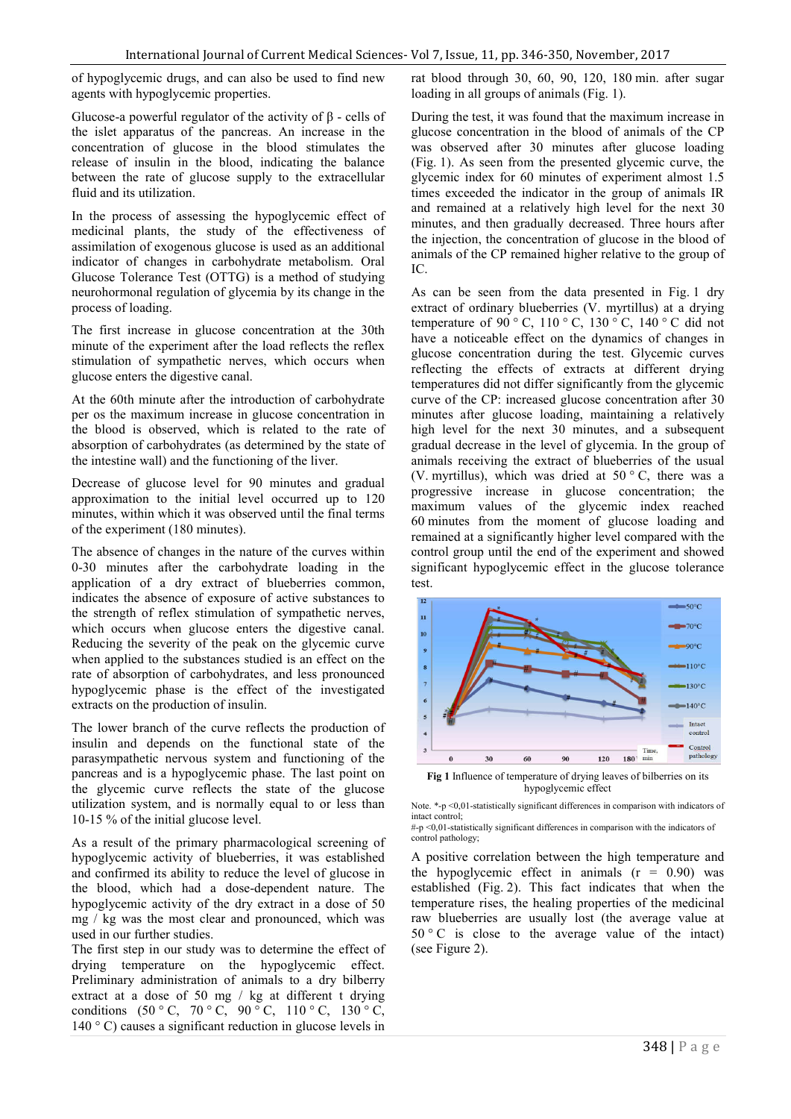of hypoglycemic drugs, and can also be used to find new agents with hypoglycemic properties.

Glucose-a powerful regulator of the activity of β - cells of the islet apparatus of the pancreas. An increase in the concentration of glucose in the blood stimulates the release of insulin in the blood, indicating the balance between the rate of glucose supply to the extracellular fluid and its utilization.

In the process of assessing the hypoglycemic effect of medicinal plants, the study of the effectiveness of assimilation of exogenous glucose is used as an additional indicator of changes in carbohydrate metabolism. Oral Glucose Tolerance Test (OTTG) is a method of studying neurohormonal regulation of glycemia by its change in the process of loading.

The first increase in glucose concentration at the 30th minute of the experiment after the load reflects the reflex stimulation of sympathetic nerves, which occurs when glucose enters the digestive canal.

At the 60th minute after the introduction of carbohydrate per os the maximum increase in glucose concentration in the blood is observed, which is related to the rate of absorption of carbohydrates (as determined by the state of the intestine wall) and the functioning of the liver.

Decrease of glucose level for 90 minutes and gradual approximation to the initial level occurred up to 120 minutes, within which it was observed until the final terms of the experiment (180 minutes).

The absence of changes in the nature of the curves within 0-30 minutes after the carbohydrate loading in the application of a dry extract of blueberries common, indicates the absence of exposure of active substances to the strength of reflex stimulation of sympathetic nerves, which occurs when glucose enters the digestive canal. Reducing the severity of the peak on the glycemic curve when applied to the substances studied is an effect on the rate of absorption of carbohydrates, and less pronounced hypoglycemic phase is the effect of the investigated extracts on the production of insulin.

The lower branch of the curve reflects the production of insulin and depends on the functional state of the parasympathetic nervous system and functioning of the pancreas and is a hypoglycemic phase. The last point on the glycemic curve reflects the state of the glucose utilization system, and is normally equal to or less than 10-15 % of the initial glucose level.

As a result of the primary pharmacological screening of hypoglycemic activity of blueberries, it was established and confirmed its ability to reduce the level of glucose in the blood, which had a dose-dependent nature. The hypoglycemic activity of the dry extract in a dose of 50 mg / kg was the most clear and pronounced, which was used in our further studies.

The first step in our study was to determine the effect of drying temperature on the hypoglycemic effect. Preliminary administration of animals to a dry bilberry extract at a dose of 50 mg / kg at different t drying conditions  $(50 °C, 70 °C, 90 °C, 110 °C, 130 °C,$  $140\degree$  C) causes a significant reduction in glucose levels in

rat blood through 30, 60, 90, 120, 180 min. after sugar loading in all groups of animals (Fig. 1).

During the test, it was found that the maximum increase in glucose concentration in the blood of animals of the СP was observed after 30 minutes after glucose loading (Fig. 1). As seen from the presented glycemic curve, the glycemic index for 60 minutes of experiment almost 1.5 times exceeded the indicator in the group of animals IR and remained at a relatively high level for the next 30 minutes, and then gradually decreased. Three hours after the injection, the concentration of glucose in the blood of animals of the CP remained higher relative to the group of IC.

As can be seen from the data presented in Fig. 1 dry extract of ordinary blueberries (V. myrtillus) at a drying temperature of 90 ° C, 110 ° C, 130 ° C, 140 ° C did not have a noticeable effect on the dynamics of changes in glucose concentration during the test. Glycemic curves reflecting the effects of extracts at different drying temperatures did not differ significantly from the glycemic curve of the CP: increased glucose concentration after 30 minutes after glucose loading, maintaining a relatively high level for the next 30 minutes, and a subsequent gradual decrease in the level of glycemia. In the group of animals receiving the extract of blueberries of the usual (V. myrtillus), which was dried at  $50^{\circ}$  C, there was a progressive increase in glucose concentration; the maximum values of the glycemic index reached 60 minutes from the moment of glucose loading and remained at a significantly higher level compared with the control group until the end of the experiment and showed significant hypoglycemic effect in the glucose tolerance test.



**Fig 1** Influence of temperature of drying leaves of bilberries on its hypoglycemic effect

A positive correlation between the high temperature and the hypoglycemic effect in animals  $(r = 0.90)$  was established (Fig. 2). This fact indicates that when the temperature rises, the healing properties of the medicinal raw blueberries are usually lost (the average value at  $50^{\circ}$  C is close to the average value of the intact) (see Figure 2).

Note. \*-p <0,01-statistically significant differences in comparison with indicators of intact control;  $_{+p}$  <0,01-statistically significant differences in comparison with the indicators of

control pathology;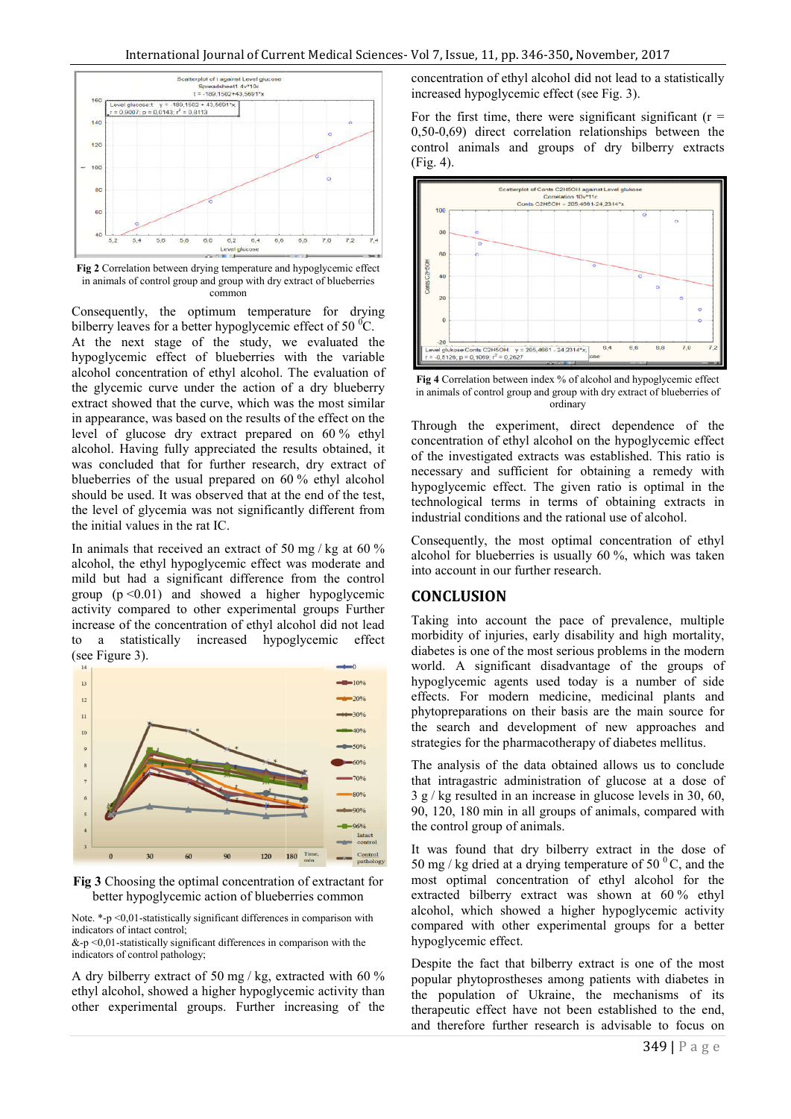

**Fig 2** Correlation between drying temperature and hypoglycemic effect in animals of control group and group with dry extract of blueberries common

Consequently, the optimum temperature for drying bilberry leaves for a better hypoglycemic effect of 50 $\mathrm{^{0}C}$ . At the next stage of the study, we evaluated the hypoglycemic effect of blueberries with the variable alcohol concentration of ethyl alcohol. The evaluation of the glycemic curve under the action of a dry blueberry At the next stage of the study, we evaluated the hypoglycemic effect of blueberries with the variable alcohol concentration of ethyl alcohol. The evaluation of the glycemic curve under the action of a dry blueberry extract in appearance, was based on the results of the effect on the level of glucose dry extract prepared on 60% ethyl alcohol. Having fully appreciated the results obtained, it was concluded that for further research, dry extract of blueberries of the usual prepared on 60 % ethyl alcohol should be used. It was observed that at the end of the test, the level of glycemia was not significantly different from the initial values in the rat IC.

In animals that received an extract of 50 mg / kg at 60 % alcohol, the ethyl hypoglycemic effect was moderate and mild but had a significant difference from the control group  $(p \le 0.01)$  and showed a higher hypoglycemic activity compared to other experimental groups Further increase of the concentration of ethyl alcohol did not lead to a statistically increased hypoglycemic effect (see Figure 3). ohol, the ethyl hypoglycemic effect was moderate and<br>ld but had a significant difference from the control<br>uup  $(p < 0.01)$  and showed a higher hypoglycemic<br>ivity compared to other experimental groups Further<br>rease of the co



**Fig 3** Choosing the optimal concentration of extractant for better hypoglycemic action of blueberries common

Note.  $*$ -p <0,01-statistically significant differences in comparison with indicators of intact control;

&-p $\leq 0.01$ -statistically significant differences in comparison with the indicators of control pathology;

A dry bilberry extract of 50 mg / kg, extracted with 60 % ethyl alcohol, showed a higher hypoglycemic activity than other experimental groups. Further increasing of the

concentration of ethyl alcohol did not lead to a statistically increased hypoglycemic effect (see Fig. 3).

For the first time, there were significant significant  $(r =$ 0,50-0,69) direct correlation relationships between the control animals and groups of dry bilberry extracts (Fig. 4).



**Fig 4** Correlation between index % of alcohol and hypoglycemic effect in animals of control group and group with dry extract of blueberries of ordinary

Through the experiment, direct dependence of the concentration of ethyl alcohol on the hypoglycemic effect of the investigated extracts was established. This ratio is necessary and sufficient for obtaining a remedy with hypoglycemic effect. The given ratio is optimal in the technological terms in terms of obtaining extracts in terms in in industrial conditions and the rational use of alcohol.

industrial conditions and the rational use of alcohol.<br>Consequently, the most optimal concentration of ethyl alcohol for blueberries is usually 60 %, which was taken into account in our further research.

#### **CONCLUSION**

Taking into account the pace of prevalence, multiple morbidity of injuries, early disability and high mortality, diabetes is one of the most serious problems in the modern world. A significant disadvantage of the groups o hypoglycemic agents used today is a number of side effects. For modern medicine, medicinal plants and phytopreparations on their basis are the main source for the search and development of new approaches and strategies for the pharmacotherapy of diabetes mellitus. is in our further research.<br>
SION<br>
o account the pace of prevalence, multiple<br>
of injuries, early disability and high mortality,<br>
one of the most serious problems in the modern<br>
significant disadvantage of the groups of used today is a number of side<br>medicine, medicinal plants and<br>heir basis are the main source for

The analysis of the data obtained allows us to conclude The analysis of the data obtained allows us to conclude that intragastric administration of glucose at a dose of 3 g / kg resulted in an increase in glucose levels in 30, 60,  $3 g$  / kg resulted in an increase in glucose levels in 30, 60, 90, 120, 180 min in all groups of animals, compared with the control group of animals.

It was found that dry bilberry extract in the dose of It was found that dry bilberry extract in the dose of 50 mg/kg dried at a drying temperature of 50  $^{\circ}$ C, and the most optimal concentration of ethyl alcohol for the most optimal concentration of ethyl alcohol for the extracted bilberry extract was shown at  $60\%$  ethyl alcohol, which showed a higher hypoglycemic activity compared with other experimental groups for a better hypoglycemic effect. alcohol, which showed a higher hypoglycemic activity<br>compared with other experimental groups for a better<br>hypoglycemic effect.<br>Despite the fact that bilberry extract is one of the most<br>popular phytoprostheses among patient

Despite the fact that bilberry extract is one of the most popular phytoprostheses among patients with diabetes in the population of Ukraine, the mechanisms of its therapeutic effect have not been established to the end, therapeutic effect have not been established to the end, and therefore further research is advisable to focus on